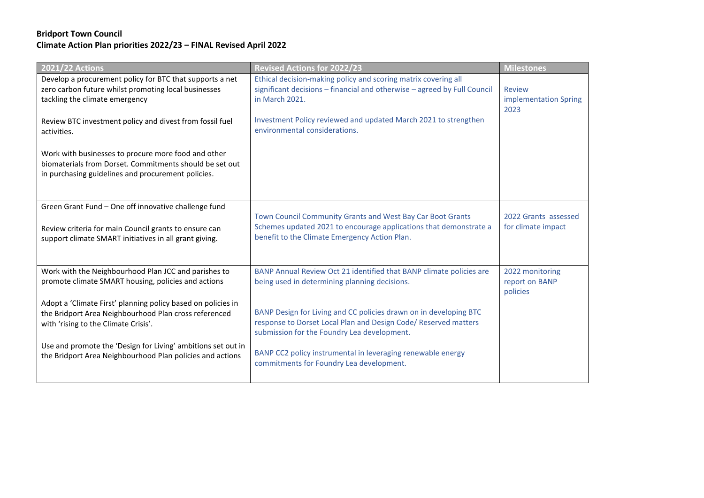## **Bridport Town Council Climate Action Plan priorities 2022/23 – FINAL Revised April 2022**

| <b>2021/22 Actions</b>                                                                                                                                                  | <b>Revised Actions for 2022/23</b>                                                                                                                                                  | <b>Milestones</b>                              |
|-------------------------------------------------------------------------------------------------------------------------------------------------------------------------|-------------------------------------------------------------------------------------------------------------------------------------------------------------------------------------|------------------------------------------------|
| Develop a procurement policy for BTC that supports a net<br>zero carbon future whilst promoting local businesses<br>tackling the climate emergency                      | Ethical decision-making policy and scoring matrix covering all<br>significant decisions - financial and otherwise - agreed by Full Council<br>in March 2021.                        | <b>Review</b><br>implementation Spring<br>2023 |
| Review BTC investment policy and divest from fossil fuel<br>activities.                                                                                                 | Investment Policy reviewed and updated March 2021 to strengthen<br>environmental considerations.                                                                                    |                                                |
| Work with businesses to procure more food and other<br>biomaterials from Dorset. Commitments should be set out<br>in purchasing guidelines and procurement policies.    |                                                                                                                                                                                     |                                                |
| Green Grant Fund - One off innovative challenge fund<br>Review criteria for main Council grants to ensure can<br>support climate SMART initiatives in all grant giving. | Town Council Community Grants and West Bay Car Boot Grants<br>Schemes updated 2021 to encourage applications that demonstrate a<br>benefit to the Climate Emergency Action Plan.    | 2022 Grants assessed<br>for climate impact     |
| Work with the Neighbourhood Plan JCC and parishes to<br>promote climate SMART housing, policies and actions                                                             | BANP Annual Review Oct 21 identified that BANP climate policies are<br>being used in determining planning decisions.                                                                | 2022 monitoring<br>report on BANP<br>policies  |
| Adopt a 'Climate First' planning policy based on policies in<br>the Bridport Area Neighbourhood Plan cross referenced<br>with 'rising to the Climate Crisis'.           | BANP Design for Living and CC policies drawn on in developing BTC<br>response to Dorset Local Plan and Design Code/ Reserved matters<br>submission for the Foundry Lea development. |                                                |
| Use and promote the 'Design for Living' ambitions set out in<br>the Bridport Area Neighbourhood Plan policies and actions                                               | BANP CC2 policy instrumental in leveraging renewable energy<br>commitments for Foundry Lea development.                                                                             |                                                |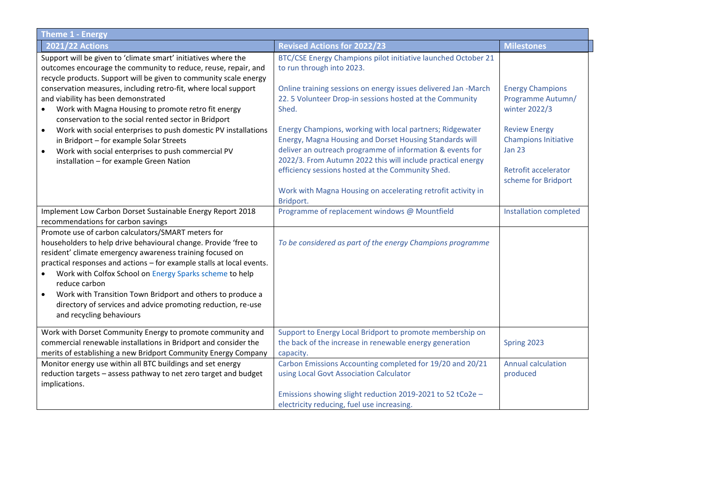| <b>Theme 1 - Energy</b>                                                                  |                                                                                                                      |                                              |  |
|------------------------------------------------------------------------------------------|----------------------------------------------------------------------------------------------------------------------|----------------------------------------------|--|
| <b>2021/22 Actions</b>                                                                   | <b>Revised Actions for 2022/23</b>                                                                                   | <b>Milestones</b>                            |  |
| Support will be given to 'climate smart' initiatives where the                           | BTC/CSE Energy Champions pilot initiative launched October 21                                                        |                                              |  |
| outcomes encourage the community to reduce, reuse, repair, and                           | to run through into 2023.                                                                                            |                                              |  |
| recycle products. Support will be given to community scale energy                        |                                                                                                                      |                                              |  |
| conservation measures, including retro-fit, where local support                          | Online training sessions on energy issues delivered Jan -March                                                       | <b>Energy Champions</b>                      |  |
| and viability has been demonstrated                                                      | 22. 5 Volunteer Drop-in sessions hosted at the Community                                                             | Programme Autumn/                            |  |
| Work with Magna Housing to promote retro fit energy                                      | Shed.                                                                                                                | winter 2022/3                                |  |
| conservation to the social rented sector in Bridport                                     |                                                                                                                      |                                              |  |
| Work with social enterprises to push domestic PV installations<br>$\bullet$              | Energy Champions, working with local partners; Ridgewater                                                            | <b>Review Energy</b>                         |  |
| in Bridport - for example Solar Streets                                                  | Energy, Magna Housing and Dorset Housing Standards will<br>deliver an outreach programme of information & events for | <b>Champions Initiative</b><br><b>Jan 23</b> |  |
| Work with social enterprises to push commercial PV                                       | 2022/3. From Autumn 2022 this will include practical energy                                                          |                                              |  |
| installation - for example Green Nation                                                  | efficiency sessions hosted at the Community Shed.                                                                    | Retrofit accelerator                         |  |
|                                                                                          |                                                                                                                      | scheme for Bridport                          |  |
|                                                                                          | Work with Magna Housing on accelerating retrofit activity in                                                         |                                              |  |
|                                                                                          | Bridport.                                                                                                            |                                              |  |
| Implement Low Carbon Dorset Sustainable Energy Report 2018                               | Programme of replacement windows @ Mountfield                                                                        | <b>Installation completed</b>                |  |
| recommendations for carbon savings                                                       |                                                                                                                      |                                              |  |
| Promote use of carbon calculators/SMART meters for                                       |                                                                                                                      |                                              |  |
| householders to help drive behavioural change. Provide 'free to                          | To be considered as part of the energy Champions programme                                                           |                                              |  |
| resident' climate emergency awareness training focused on                                |                                                                                                                      |                                              |  |
| practical responses and actions - for example stalls at local events.                    |                                                                                                                      |                                              |  |
| Work with Colfox School on Energy Sparks scheme to help                                  |                                                                                                                      |                                              |  |
| reduce carbon                                                                            |                                                                                                                      |                                              |  |
| Work with Transition Town Bridport and others to produce a<br>$\bullet$                  |                                                                                                                      |                                              |  |
| directory of services and advice promoting reduction, re-use<br>and recycling behaviours |                                                                                                                      |                                              |  |
|                                                                                          |                                                                                                                      |                                              |  |
| Work with Dorset Community Energy to promote community and                               | Support to Energy Local Bridport to promote membership on                                                            |                                              |  |
| commercial renewable installations in Bridport and consider the                          | the back of the increase in renewable energy generation                                                              | Spring 2023                                  |  |
| merits of establishing a new Bridport Community Energy Company                           | capacity.                                                                                                            |                                              |  |
| Monitor energy use within all BTC buildings and set energy                               | Carbon Emissions Accounting completed for 19/20 and 20/21                                                            | <b>Annual calculation</b>                    |  |
| reduction targets - assess pathway to net zero target and budget                         | using Local Govt Association Calculator                                                                              | produced                                     |  |
| implications.                                                                            |                                                                                                                      |                                              |  |
|                                                                                          | Emissions showing slight reduction 2019-2021 to 52 tCo2e -                                                           |                                              |  |
|                                                                                          | electricity reducing, fuel use increasing.                                                                           |                                              |  |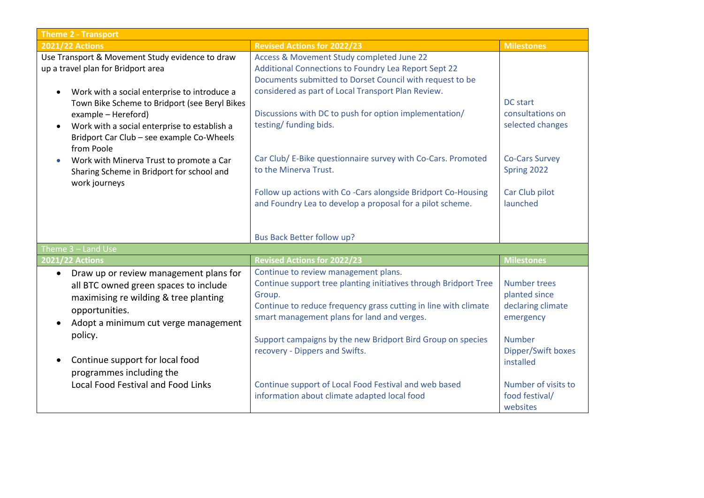| <b>Theme 2 - Transport</b>                                                                                                                                                                                                                                                                                                                                                                             |                                                                                                                                                                                 |  |  |  |
|--------------------------------------------------------------------------------------------------------------------------------------------------------------------------------------------------------------------------------------------------------------------------------------------------------------------------------------------------------------------------------------------------------|---------------------------------------------------------------------------------------------------------------------------------------------------------------------------------|--|--|--|
| <b>Revised Actions for 2022/23</b>                                                                                                                                                                                                                                                                                                                                                                     | <b>Milestones</b>                                                                                                                                                               |  |  |  |
| Access & Movement Study completed June 22<br>Additional Connections to Foundry Lea Report Sept 22<br>Documents submitted to Dorset Council with request to be                                                                                                                                                                                                                                          |                                                                                                                                                                                 |  |  |  |
| considered as part of Local Transport Plan Review.<br>Discussions with DC to push for option implementation/<br>testing/ funding bids.                                                                                                                                                                                                                                                                 | <b>DC</b> start<br>consultations on<br>selected changes                                                                                                                         |  |  |  |
| Car Club/ E-Bike questionnaire survey with Co-Cars. Promoted<br>to the Minerva Trust.                                                                                                                                                                                                                                                                                                                  | <b>Co-Cars Survey</b><br>Spring 2022                                                                                                                                            |  |  |  |
| Follow up actions with Co-Cars alongside Bridport Co-Housing<br>and Foundry Lea to develop a proposal for a pilot scheme.                                                                                                                                                                                                                                                                              | Car Club pilot<br>launched                                                                                                                                                      |  |  |  |
| Bus Back Better follow up?                                                                                                                                                                                                                                                                                                                                                                             |                                                                                                                                                                                 |  |  |  |
|                                                                                                                                                                                                                                                                                                                                                                                                        |                                                                                                                                                                                 |  |  |  |
|                                                                                                                                                                                                                                                                                                                                                                                                        | <b>Milestones</b>                                                                                                                                                               |  |  |  |
| Continue support tree planting initiatives through Bridport Tree<br>Group.<br>Continue to reduce frequency grass cutting in line with climate<br>smart management plans for land and verges.<br>Support campaigns by the new Bridport Bird Group on species<br>recovery - Dippers and Swifts.<br>Continue support of Local Food Festival and web based<br>information about climate adapted local food | <b>Number trees</b><br>planted since<br>declaring climate<br>emergency<br><b>Number</b><br>Dipper/Swift boxes<br>installed<br>Number of visits to<br>food festival/<br>websites |  |  |  |
|                                                                                                                                                                                                                                                                                                                                                                                                        | <b>Revised Actions for 2022/23</b><br>Continue to review management plans.                                                                                                      |  |  |  |